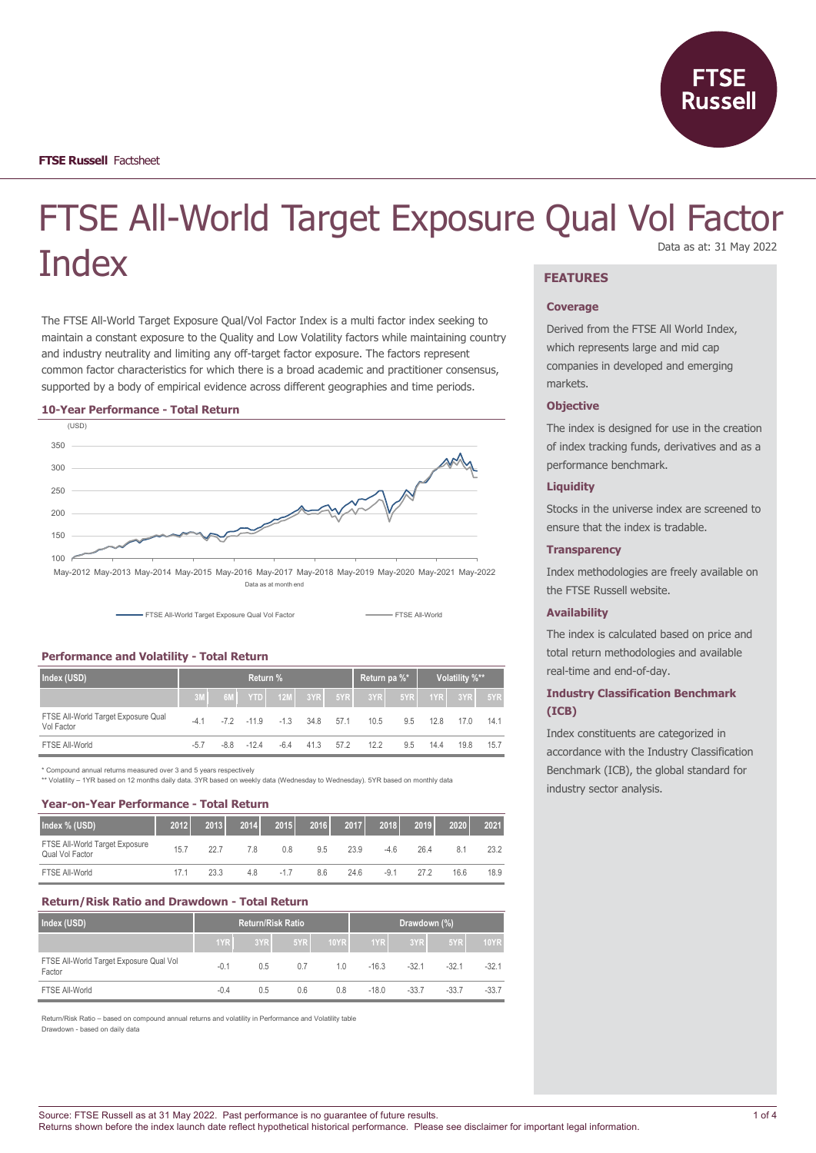

# FTSE All-World Target Exposure Qual Vol Factor **Index** Data as at: 31 May 2022

The FTSE All-World Target Exposure Qual/Vol Factor Index is a multi factor index seeking to maintain a constant exposure to the Quality and Low Volatility factors while maintaining country and industry neutrality and limiting any off-target factor exposure. The factors represent common factor characteristics for which there is a broad academic and practitioner consensus, supported by a body of empirical evidence across different geographies and time periods.

#### **10-Year Performance - Total Return**



FTSE All-World Target Exposure Qual Vol Factor **FTSE All-World** FTSE All-World

#### **Performance and Volatility - Total Return**

| Index (USD)                                       | Return % |  |             |        |      |      | Return pa %*                           |     | Volatility %** |      |      |
|---------------------------------------------------|----------|--|-------------|--------|------|------|----------------------------------------|-----|----------------|------|------|
|                                                   | 3M       |  |             |        |      |      | 6M YTD 12M 3YR 5YR 3YR 5YR 5YR 1YR 3YR |     |                |      | 5YR  |
| FTSE All-World Target Exposure Qual<br>Vol Factor | $-41$    |  | $-72 - 119$ | $-1.3$ | 34.8 | 57.1 | 10.5                                   | 9.5 | 12.8           | 17.0 | 14.1 |
| FTSE All-World                                    | $-5.7$   |  | $-88 - 124$ | $-6.4$ | 41.3 | 57.2 | 12.2                                   | 9.5 | 14.4           | 19.8 | 15.7 |

\* Compound annual returns measured over 3 and 5 years respectively

\*\* Volatility – 1YR based on 12 months daily data. 3YR based on weekly data (Wednesday to Wednesday). 5YR based on monthly data

#### **Year-on-Year Performance - Total Return**

| Index % (USD)                                     | 2012 | 2013 | 2014 | 2015   | 2016 | 2017 | 2018 | 2019 | 2020 | 2021 |
|---------------------------------------------------|------|------|------|--------|------|------|------|------|------|------|
| FTSE All-World Target Exposure<br>Qual Vol Factor | 15.7 | 227  | 78   | 0.8    | 9.5  | 23.9 | -4.6 | 26.4 | 8.1  | 23.2 |
| FTSE All-World                                    | 17.1 | 23.3 | 4.8  | $-1.7$ | 8.6  | 24.6 | -9.1 | 27.2 | 16.6 | 18.9 |

#### **Return/Risk Ratio and Drawdown - Total Return**

| Index (USD)                                       |        |     | <b>Return/Risk Ratio</b> |             | Drawdown (%) |         |         |             |
|---------------------------------------------------|--------|-----|--------------------------|-------------|--------------|---------|---------|-------------|
|                                                   | 1YR    | 3YR | 5YR                      | <b>10YR</b> | 1YR          | 3YR     | 5YR     | <b>10YR</b> |
| FTSE All-World Target Exposure Qual Vol<br>Factor | $-0.1$ | 0.5 | 0.7                      | 10          | $-16.3$      | $-32.1$ | $-32.1$ | $-32.1$     |
| FTSE All-World                                    | $-0.4$ | 0.5 | 0.6                      | 0.8         | $-18.0$      | $-33.7$ | $-33.7$ | $-33.7$     |

Return/Risk Ratio – based on compound annual returns and volatility in Performance and Volatility table Drawdown - based on daily data

# **FEATURES**

#### **Coverage**

Derived from the FTSE All World Index, which represents large and mid cap companies in developed and emerging markets.

#### **Objective**

The index is designed for use in the creation of index tracking funds, derivatives and as a performance benchmark.

#### **Liquidity**

Stocks in the universe index are screened to ensure that the index is tradable.

#### **Transparency**

Index methodologies are freely available on the FTSE Russell website.

#### **Availability**

The index is calculated based on price and total return methodologies and available real-time and end-of-day.

# **Industry Classification Benchmark (ICB)**

Index constituents are categorized in accordance with the Industry Classification Benchmark (ICB), the global standard for industry sector analysis.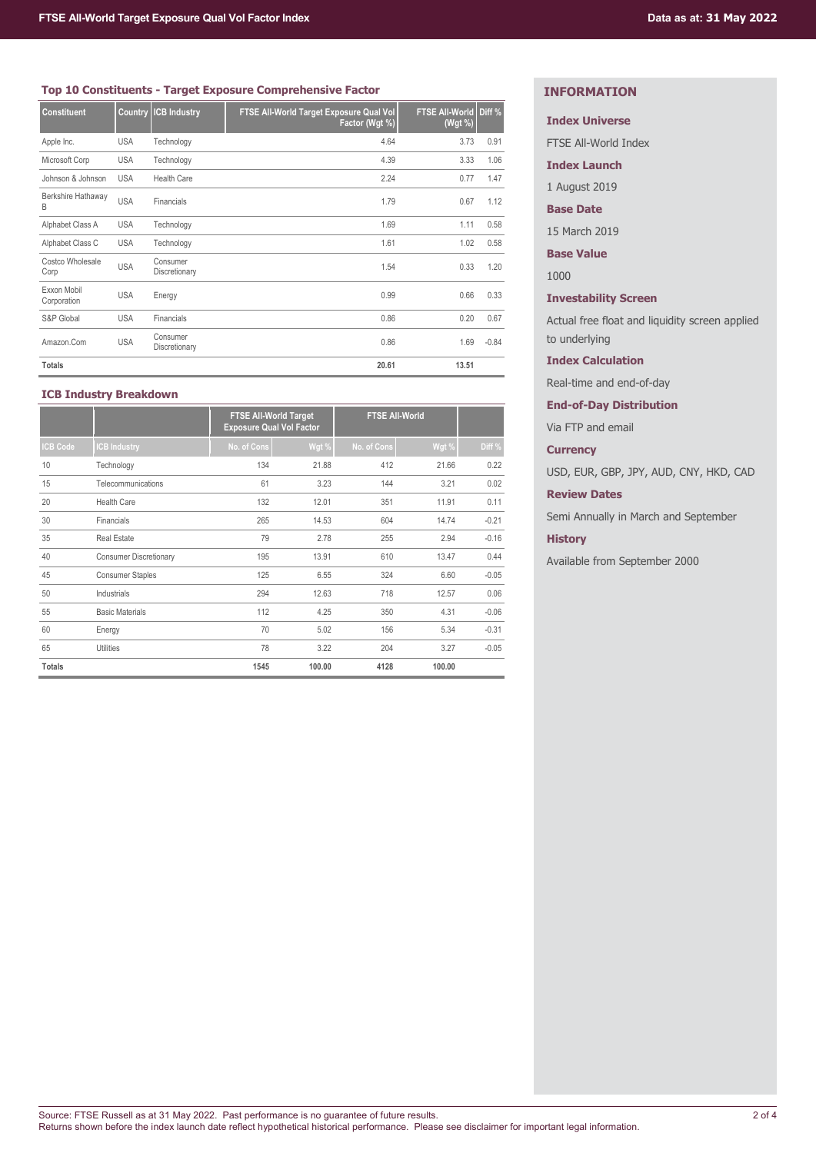### **Top 10 Constituents - Target Exposure Comprehensive Factor**

| <b>Constituent</b>         | <b>Country</b> | <b>ICB Industry</b>       | FTSE All-World Target Exposure Qual Vol<br>Factor (Wgt %) | <b>FTSE All-World</b><br>(Wgt %) | Diff <sub>%</sub> |
|----------------------------|----------------|---------------------------|-----------------------------------------------------------|----------------------------------|-------------------|
| Apple Inc.                 | <b>USA</b>     | Technology                | 4.64                                                      | 3.73                             | 0.91              |
| Microsoft Corp             | <b>USA</b>     | Technology                | 4.39                                                      | 3.33                             | 1.06              |
| Johnson & Johnson          | <b>USA</b>     | <b>Health Care</b>        | 2.24                                                      | 0.77                             | 1.47              |
| Berkshire Hathaway<br>B    | <b>USA</b>     | Financials                | 1.79                                                      | 0.67                             | 1.12              |
| Alphabet Class A           | <b>USA</b>     | Technology                | 1.69                                                      | 1.11                             | 0.58              |
| Alphabet Class C           | <b>USA</b>     | Technology                | 1.61                                                      | 1.02                             | 0.58              |
| Costco Wholesale<br>Corp   | <b>USA</b>     | Consumer<br>Discretionary | 1.54                                                      | 0.33                             | 1.20              |
| Exxon Mobil<br>Corporation | <b>USA</b>     | Energy                    | 0.99                                                      | 0.66                             | 0.33              |
| S&P Global                 | <b>USA</b>     | Financials                | 0.86                                                      | 0.20                             | 0.67              |
| Amazon.Com                 | <b>USA</b>     | Consumer<br>Discretionary | 0.86                                                      | 1.69                             | $-0.84$           |
| <b>Totals</b>              |                |                           | 20.61                                                     | 13.51                            |                   |

# **ICB Industry Breakdown**

|                 |                               | <b>FTSE All-World Target</b><br><b>Exposure Qual Vol Factor</b> |        | <b>FTSE All-World</b> |        |         |
|-----------------|-------------------------------|-----------------------------------------------------------------|--------|-----------------------|--------|---------|
| <b>ICB Code</b> | <b>CB Industry</b>            | No. of Cons                                                     | Wgt %  | No. of Cons           | Wgt %  | Diff %  |
| 10              | Technology                    | 134                                                             | 21.88  | 412                   | 21.66  | 0.22    |
| 15              | Telecommunications            | 61                                                              | 3.23   | 144                   | 3.21   | 0.02    |
| 20              | <b>Health Care</b>            | 132                                                             | 12.01  | 351                   | 11.91  | 0.11    |
| 30              | Financials                    | 265                                                             | 14.53  | 604                   | 14.74  | $-0.21$ |
| 35              | <b>Real Estate</b>            | 79                                                              | 2.78   | 255                   | 2.94   | $-0.16$ |
| 40              | <b>Consumer Discretionary</b> | 195                                                             | 13.91  | 610                   | 13.47  | 0.44    |
| 45              | <b>Consumer Staples</b>       | 125                                                             | 6.55   | 324                   | 6.60   | $-0.05$ |
| 50              | Industrials                   | 294                                                             | 12.63  | 718                   | 12.57  | 0.06    |
| 55              | <b>Basic Materials</b>        | 112                                                             | 4.25   | 350                   | 4.31   | $-0.06$ |
| 60              | Energy                        | 70                                                              | 5.02   | 156                   | 5.34   | $-0.31$ |
| 65              | Utilities                     | 78                                                              | 3.22   | 204                   | 3.27   | $-0.05$ |
| <b>Totals</b>   |                               | 1545                                                            | 100.00 | 4128                  | 100.00 |         |

# **INFORMATION**

**Index Universe**

FTSE All-World Index

**Index Launch**

1 August 2019

**Base Date**

15 March 2019

**Base Value**

1000

**Investability Screen**

Actual free float and liquidity screen applied to underlying

**Index Calculation**

Real-time and end-of-day

**End-of-Day Distribution**

Via FTP and email

**Currency**

USD, EUR, GBP, JPY, AUD, CNY, HKD, CAD

**Review Dates**

Semi Annually in March and September

# **History**

Available from September 2000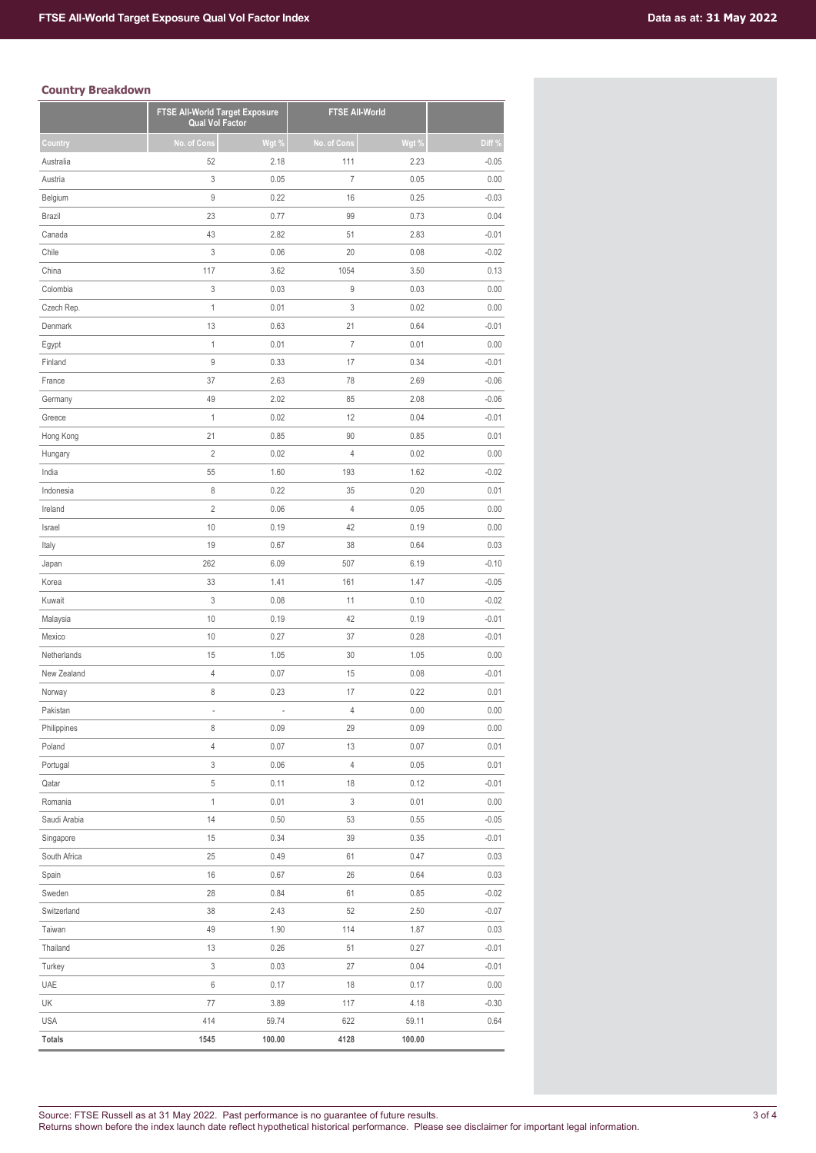# **Country Breakdown**

|               |                | FTSE All-World Target Exposure<br><b>Qual Vol Factor</b> |                | <b>FTSE All-World</b> |         |  |
|---------------|----------------|----------------------------------------------------------|----------------|-----------------------|---------|--|
| Country       | No. of Cons    | Wgt $\%$                                                 | No. of Cons    | Wgt %                 | Diff %  |  |
| Australia     | 52             | 2.18                                                     | 111            | 2.23                  | $-0.05$ |  |
| Austria       | 3              | 0.05                                                     | $\overline{7}$ | 0.05                  | 0.00    |  |
| Belgium       | 9              | 0.22                                                     | 16             | 0.25                  | $-0.03$ |  |
| <b>Brazil</b> | 23             | 0.77                                                     | 99             | 0.73                  | 0.04    |  |
| Canada        | 43             | 2.82                                                     | 51             | 2.83                  | $-0.01$ |  |
| Chile         | 3              | 0.06                                                     | 20             | 0.08                  | $-0.02$ |  |
| China         | 117            | 3.62                                                     | 1054           | 3.50                  | 0.13    |  |
| Colombia      | 3              | 0.03                                                     | 9              | 0.03                  | 0.00    |  |
| Czech Rep.    | 1              | 0.01                                                     | 3              | 0.02                  | 0.00    |  |
| Denmark       | 13             | 0.63                                                     | 21             | 0.64                  | $-0.01$ |  |
| Egypt         | 1              | 0.01                                                     | $\overline{7}$ | 0.01                  | 0.00    |  |
| Finland       | 9              | 0.33                                                     | 17             | 0.34                  | $-0.01$ |  |
| France        | 37             | 2.63                                                     | 78             | 2.69                  | $-0.06$ |  |
| Germany       | 49             | 2.02                                                     | 85             | 2.08                  | $-0.06$ |  |
| Greece        | $\mathbf{1}$   | 0.02                                                     | 12             | 0.04                  | $-0.01$ |  |
| Hong Kong     | 21             | 0.85                                                     | 90             | 0.85                  | 0.01    |  |
| Hungary       | $\overline{c}$ | 0.02                                                     | $\overline{4}$ | 0.02                  | 0.00    |  |
| India         | 55             | 1.60                                                     | 193            | 1.62                  | $-0.02$ |  |
| Indonesia     | 8              | 0.22                                                     | 35             | 0.20                  | 0.01    |  |
| Ireland       | $\sqrt{2}$     | 0.06                                                     | $\overline{4}$ | 0.05                  | 0.00    |  |
| Israel        | 10             | 0.19                                                     | 42             | 0.19                  | 0.00    |  |
| Italy         | 19             | 0.67                                                     | 38             | 0.64                  | 0.03    |  |
| Japan         | 262            | 6.09                                                     | 507            | 6.19                  | $-0.10$ |  |
| Korea         | 33             | 1.41                                                     | 161            | 1.47                  | $-0.05$ |  |
| Kuwait        | 3              | 0.08                                                     | 11             | 0.10                  | $-0.02$ |  |
| Malaysia      | 10             | 0.19                                                     | 42             | 0.19                  | $-0.01$ |  |
| Mexico        | 10             | 0.27                                                     | 37             | 0.28                  | $-0.01$ |  |
| Netherlands   | 15             | 1.05                                                     | 30             | 1.05                  | 0.00    |  |
| New Zealand   | $\overline{4}$ | 0.07                                                     | 15             | 0.08                  | $-0.01$ |  |
| Norway        | 8              | 0.23                                                     | 17             | 0.22                  | 0.01    |  |
| Pakistan      |                |                                                          | 4              | 0.00                  | 0.00    |  |
| Philippines   | 8              | 0.09                                                     | 29             | 0.09                  | 0.00    |  |
| Poland        | $\overline{4}$ | 0.07                                                     | 13             | 0.07                  | 0.01    |  |
| Portugal      | 3              | 0.06                                                     | 4              | 0.05                  | 0.01    |  |
| Qatar         | $\sqrt{5}$     | 0.11                                                     | 18             | 0.12                  | $-0.01$ |  |
| Romania       | $\mathbf 1$    | 0.01                                                     | 3              | 0.01                  | 0.00    |  |
| Saudi Arabia  | 14             | 0.50                                                     | 53             | 0.55                  | $-0.05$ |  |
| Singapore     | 15             | 0.34                                                     | 39             | 0.35                  | $-0.01$ |  |
| South Africa  | 25             | 0.49                                                     | 61             | 0.47                  | 0.03    |  |
| Spain         | 16             | 0.67                                                     | 26             | 0.64                  | 0.03    |  |
| Sweden        | 28             | 0.84                                                     | 61             | 0.85                  | $-0.02$ |  |
| Switzerland   | 38             | 2.43                                                     | 52             | 2.50                  | $-0.07$ |  |
| Taiwan        | 49             | 1.90                                                     | 114            | 1.87                  | 0.03    |  |
| Thailand      | 13             | 0.26                                                     | 51             | 0.27                  | $-0.01$ |  |
| Turkey        | 3              | 0.03                                                     | 27             | 0.04                  | $-0.01$ |  |
| UAE           | 6              | 0.17                                                     | 18             | 0.17                  | 0.00    |  |
| UK            | 77             | 3.89                                                     | 117            | 4.18                  | $-0.30$ |  |
| <b>USA</b>    | 414            | 59.74                                                    | 622            | 59.11                 | 0.64    |  |
| <b>Totals</b> | 1545           | 100.00                                                   | 4128           | 100.00                |         |  |
|               |                |                                                          |                |                       |         |  |